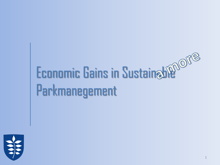# Economic Gains in Sustaineble<sup>nore</sup> Parkmanegement

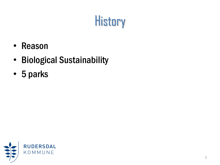## **History**

- Reason
- Biological Sustainability
- 5 parks

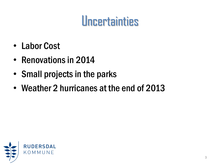#### **Uncertainties**

- Labor Cost
- Renovations in 2014
- Small projects in the parks
- Weather 2 hurricanes at the end of 2013

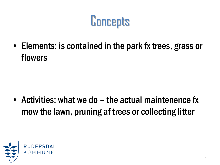**Concepts** 

• Elements: is contained in the park fx trees, grass or flowers

• Activities: what we do – the actual maintenence fx mow the lawn, pruning af trees or collecting litter

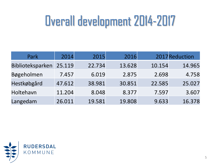## Overall development2014-2017

| Park             | 2014   | 2015   | 2016   |        | 2017 Reduction |
|------------------|--------|--------|--------|--------|----------------|
| Biblioteksparken | 25.119 | 22.734 | 13.628 | 10.154 | 14.965         |
| Bøgeholmen       | 7.457  | 6.019  | 2.875  | 2.698  | 4.758          |
| Hestkøbgård      | 47.612 | 38.981 | 30.851 | 22.585 | 25.027         |
| Holtehavn        | 11.204 | 8.048  | 8.377  | 7.597  | 3.607          |
| Langedam         | 26.011 | 19.581 | 19.808 | 9.633  | 16.378         |

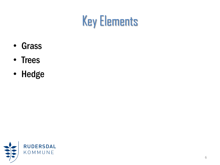

- Grass
- Trees
- Hedge

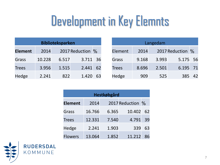## Development in Key Elemnts

| <b>Biblioteksparken</b> |        |       |                  |    |  |
|-------------------------|--------|-------|------------------|----|--|
| <b>Element</b>          | 2014   |       | 2017 Reduction % |    |  |
| Grass                   | 10.228 | 6.517 | 3.711 36         |    |  |
| <b>Trees</b>            | 3.956  | 1.515 | 2.441            | 62 |  |
| Hedge                   | 2.241  | 822   | 1.420            | 63 |  |

| Langedam     |       |       |                  |    |  |
|--------------|-------|-------|------------------|----|--|
| Element      | 2014  |       | 2017 Reduction % |    |  |
| Grass        | 9.168 | 3.993 | 5.175 56         |    |  |
| <b>Trees</b> | 8.696 | 2.501 | 6.195 71         |    |  |
| Hedge        | 909   | 525   | 385              | 42 |  |

| Hestkøbgård    |        |       |                  |    |  |
|----------------|--------|-------|------------------|----|--|
| <b>Element</b> | 2014   |       | 2017 Reduction % |    |  |
| Grass          | 16.766 | 6.365 | 10.402           | 62 |  |
| <b>Trees</b>   | 12.331 | 7.540 | 4.791            | 39 |  |
| Hedge          | 2.241  | 1.903 | 339              | 63 |  |
| <b>Flowers</b> | 13.064 | 1.852 | 11.212           | 86 |  |

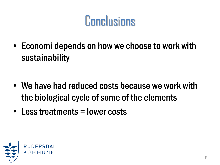#### **Conclusions**

• Economi depends on how we choose to work with sustainability

- We have had reduced costs because we work with the biological cycle of some of the elements
- Less treatments = lower costs